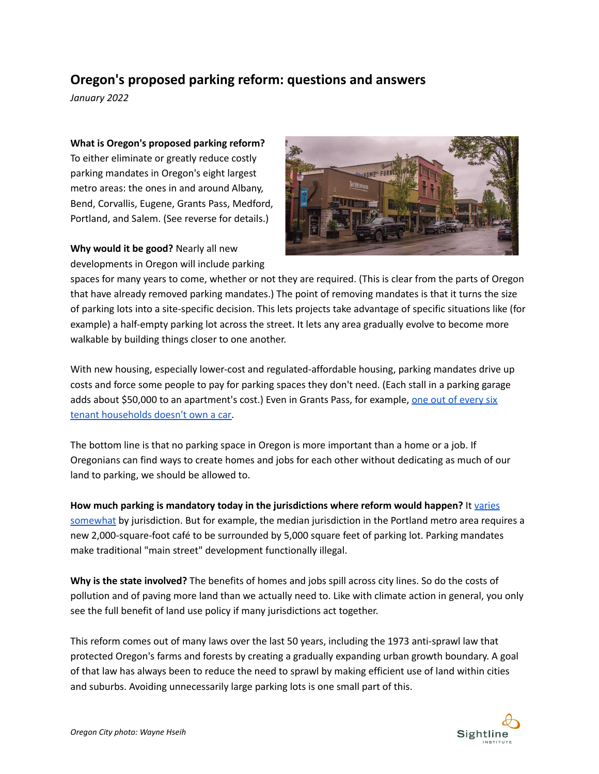## **Oregon's proposed parking reform: questions and answers**

*January 2022*

**What is Oregon's proposed parking reform?**

To either eliminate or greatly reduce costly parking mandates in Oregon's eight largest metro areas: the ones in and around Albany, Bend, Corvallis, Eugene, Grants Pass, Medford, Portland, and Salem. (See reverse for details.)

**Why would it be good?** Nearly all new developments in Oregon will include parking



spaces for many years to come, whether or not they are required. (This is clear from the parts of Oregon that have already removed parking mandates.) The point of removing mandates is that it turns the size of parking lots into a site-specific decision. This lets projects take advantage of specific situations like (for example) a half-empty parking lot across the street. It lets any area gradually evolve to become more walkable by building things closer to one another.

With new housing, especially lower-cost and regulated-affordable housing, parking mandates drive up costs and force some people to pay for parking spaces they don't need. (Each stall in a parking garage adds about \$50,000 to an apartment's cost.) Even in Grants Pass, for example, one out of [every](https://data.census.gov/cedsci/table?q=tenure%20vehicles%20grants%20pass&tid=ACSDT5Y2019.B25044) six tenant [households](https://data.census.gov/cedsci/table?q=tenure%20vehicles%20grants%20pass&tid=ACSDT5Y2019.B25044) doesn't own a car.

The bottom line is that no parking space in Oregon is more important than a home or a job. If Oregonians can find ways to create homes and jobs for each other without dedicating as much of our land to parking, we should be allowed to.

**How much parking is mandatory today in the jurisdictions where reform would happen?** It [varies](https://docs.google.com/spreadsheets/d/1JYlTvdkgELwo9ulAzKDExCrziy76FwaJbrP5Y5m6SFU/edit#gid=0) [somewhat](https://docs.google.com/spreadsheets/d/1JYlTvdkgELwo9ulAzKDExCrziy76FwaJbrP5Y5m6SFU/edit#gid=0) by jurisdiction. But for example, the median jurisdiction in the Portland metro area requires a new 2,000-square-foot café to be surrounded by 5,000 square feet of parking lot. Parking mandates make traditional "main street" development functionally illegal.

**Why is the state involved?** The benefits of homes and jobs spill across city lines. So do the costs of pollution and of paving more land than we actually need to. Like with climate action in general, you only see the full benefit of land use policy if many jurisdictions act together.

This reform comes out of many laws over the last 50 years, including the 1973 anti-sprawl law that protected Oregon's farms and forests by creating a gradually expanding urban growth boundary. A goal of that law has always been to reduce the need to sprawl by making efficient use of land within cities and suburbs. Avoiding unnecessarily large parking lots is one small part of this.